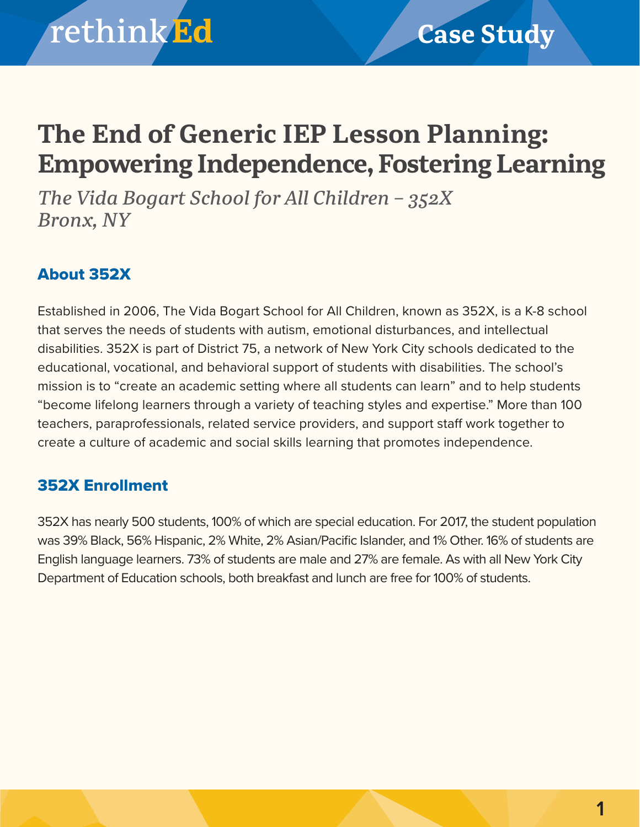## **The End of Generic IEP Lesson Planning: Empowering Independence, Fostering Learning**

*The Vida Bogart School for All Children – 352X Bronx, NY*

### About 352X

Established in 2006, The Vida Bogart School for All Children, known as 352X, is a K-8 school that serves the needs of students with autism, emotional disturbances, and intellectual disabilities. 352X is part of District 75, a network of New York City schools dedicated to the educational, vocational, and behavioral support of students with disabilities. The school's mission is to "create an academic setting where all students can learn" and to help students "become lifelong learners through a variety of teaching styles and expertise." More than 100 teachers, paraprofessionals, related service providers, and support staff work together to create a culture of academic and social skills learning that promotes independence.

### 352X Enrollment

352X has nearly 500 students, 100% of which are special education. For 2017, the student population was 39% Black, 56% Hispanic, 2% White, 2% Asian/Pacific Islander, and 1% Other. 16% of students are English language learners. 73% of students are male and 27% are female. As with all New York City Department of Education schools, both breakfast and lunch are free for 100% of students.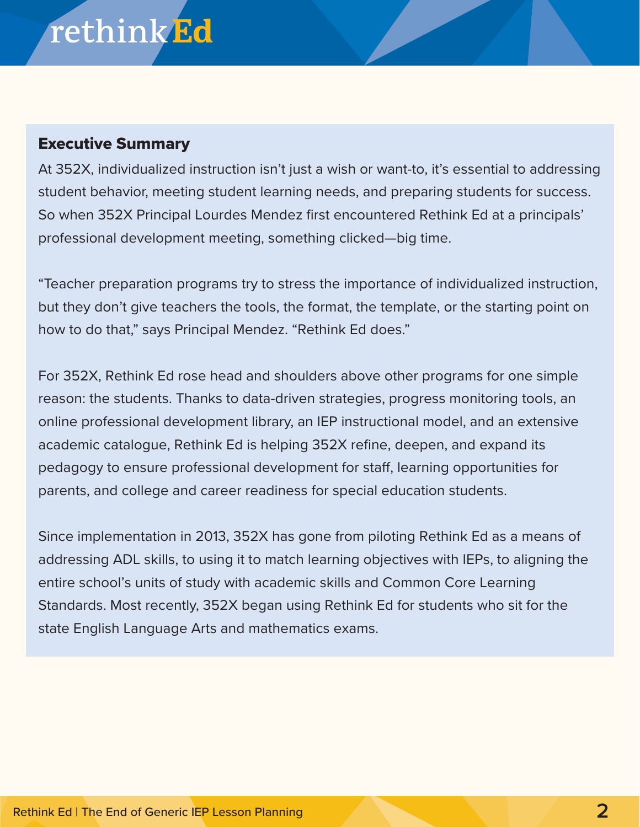# rethinkEd

### Executive Summary

At 352X, individualized instruction isn't just a wish or want-to, it's essential to addressing student behavior, meeting student learning needs, and preparing students for success. So when 352X Principal Lourdes Mendez first encountered Rethink Ed at a principals' professional development meeting, something clicked—big time.

"Teacher preparation programs try to stress the importance of individualized instruction, but they don't give teachers the tools, the format, the template, or the starting point on how to do that," says Principal Mendez. "Rethink Ed does."

For 352X, Rethink Ed rose head and shoulders above other programs for one simple reason: the students. Thanks to data-driven strategies, progress monitoring tools, an online professional development library, an IEP instructional model, and an extensive academic catalogue, Rethink Ed is helping 352X refine, deepen, and expand its pedagogy to ensure professional development for staff, learning opportunities for parents, and college and career readiness for special education students.

Since implementation in 2013, 352X has gone from piloting Rethink Ed as a means of addressing ADL skills, to using it to match learning objectives with IEPs, to aligning the entire school's units of study with academic skills and Common Core Learning Standards. Most recently, 352X began using Rethink Ed for students who sit for the state English Language Arts and mathematics exams.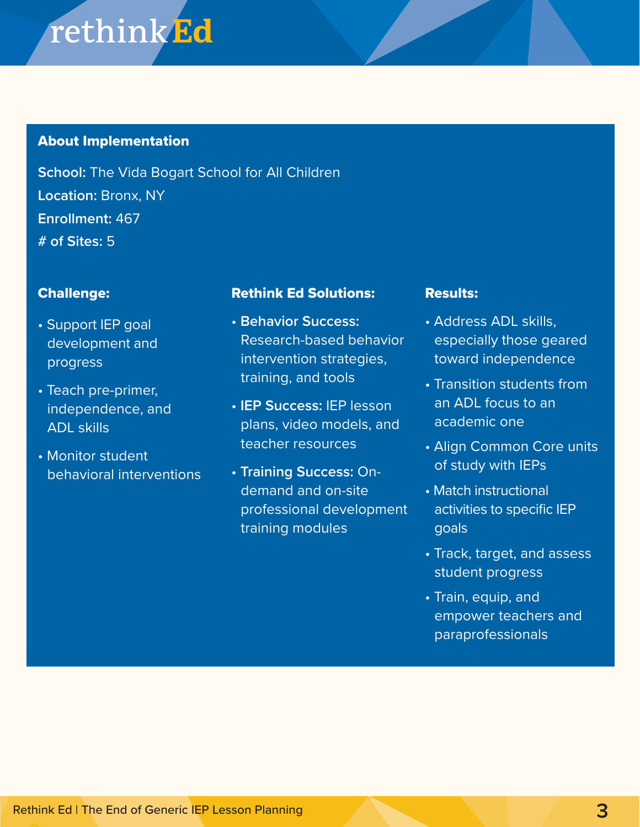## **rethinkEd**

#### About Implementation

**School:** The Vida Bogart School for All Children **Location:** Bronx, NY **Enrollment:** 467 **# of Sites:** 5

#### Challenge:

- Support IEP goal development and progress
- Teach pre-primer, independence, and ADL skills
- Monitor student behavioral interventions

#### Rethink Ed Solutions:

- **Behavior Success:** Research-based behavior intervention strategies, training, and tools
- **IEP Success:** IEP lesson plans, video models, and teacher resources
- **Training Success:** Ondemand and on-site professional development training modules

#### Results:

- Address ADL skills, especially those geared toward independence
- Transition students from an ADL focus to an academic one
- Align Common Core units of study with IEPs
- Match instructional activities to specific IEP goals
- Track, target, and assess student progress
- Train, equip, and empower teachers and paraprofessionals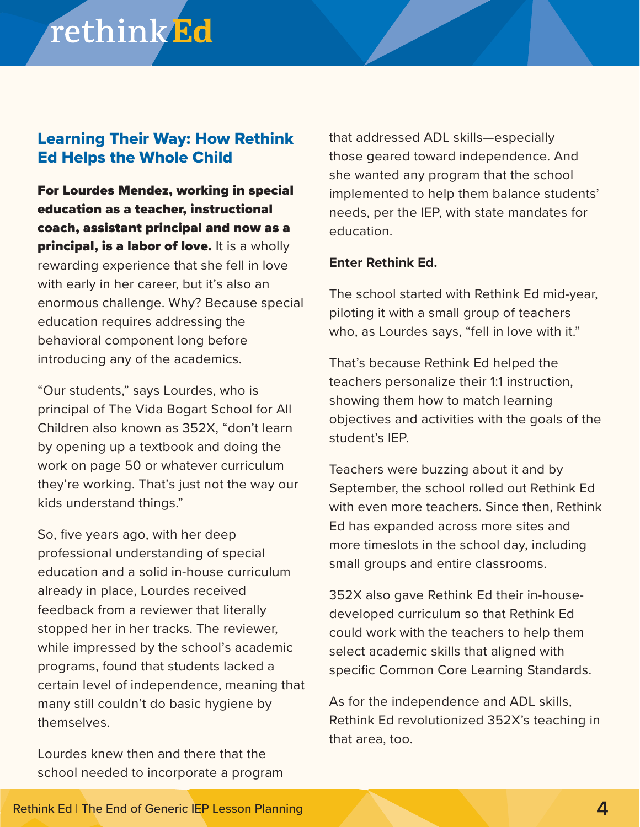## rethink<sup>Ed</sup>

### Learning Their Way: How Rethink Ed Helps the Whole Child

For Lourdes Mendez, working in special education as a teacher, instructional coach, assistant principal and now as a principal, is a labor of love. It is a wholly rewarding experience that she fell in love with early in her career, but it's also an enormous challenge. Why? Because special education requires addressing the behavioral component long before introducing any of the academics.

"Our students," says Lourdes, who is principal of The Vida Bogart School for All Children also known as 352X, "don't learn by opening up a textbook and doing the work on page 50 or whatever curriculum they're working. That's just not the way our kids understand things."

So, five years ago, with her deep professional understanding of special education and a solid in-house curriculum already in place, Lourdes received feedback from a reviewer that literally stopped her in her tracks. The reviewer, while impressed by the school's academic programs, found that students lacked a certain level of independence, meaning that many still couldn't do basic hygiene by themselves.

Lourdes knew then and there that the school needed to incorporate a program that addressed ADL skills—especially those geared toward independence. And she wanted any program that the school implemented to help them balance students' needs, per the IEP, with state mandates for education.

#### **Enter Rethink Ed.**

The school started with Rethink Ed mid-year, piloting it with a small group of teachers who, as Lourdes says, "fell in love with it."

That's because Rethink Ed helped the teachers personalize their 1:1 instruction, showing them how to match learning objectives and activities with the goals of the student's IEP.

Teachers were buzzing about it and by September, the school rolled out Rethink Ed with even more teachers. Since then, Rethink Ed has expanded across more sites and more timeslots in the school day, including small groups and entire classrooms.

352X also gave Rethink Ed their in-housedeveloped curriculum so that Rethink Ed could work with the teachers to help them select academic skills that aligned with specific Common Core Learning Standards.

As for the independence and ADL skills, Rethink Ed revolutionized 352X's teaching in that area, too.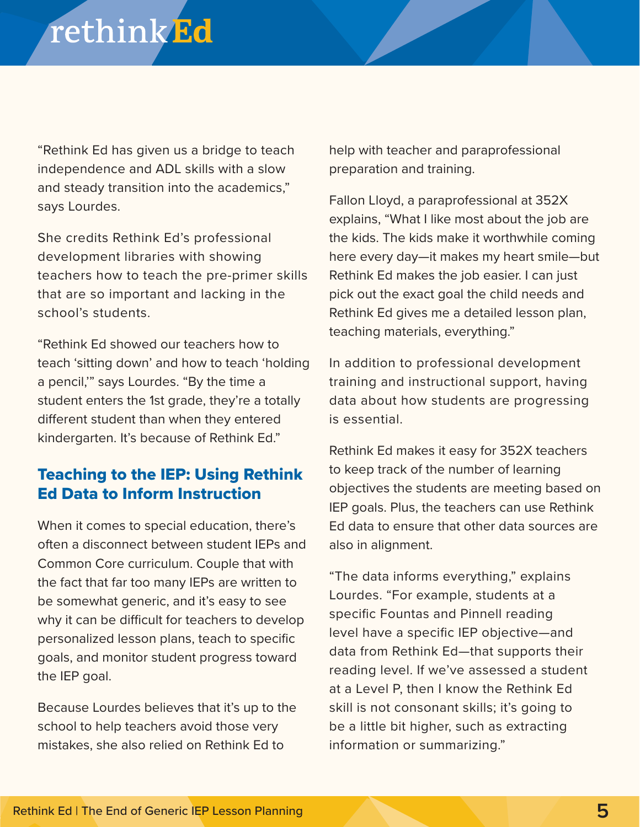## rethink<sup>Ed</sup>

"Rethink Ed has given us a bridge to teach independence and ADL skills with a slow and steady transition into the academics," says Lourdes.

She credits Rethink Ed's professional development libraries with showing teachers how to teach the pre-primer skills that are so important and lacking in the school's students.

"Rethink Ed showed our teachers how to teach 'sitting down' and how to teach 'holding a pencil,'" says Lourdes. "By the time a student enters the 1st grade, they're a totally different student than when they entered kindergarten. It's because of Rethink Ed."

### Teaching to the IEP: Using Rethink Ed Data to Inform Instruction

When it comes to special education, there's often a disconnect between student IEPs and Common Core curriculum. Couple that with the fact that far too many IEPs are written to be somewhat generic, and it's easy to see why it can be difficult for teachers to develop personalized lesson plans, teach to specific goals, and monitor student progress toward the IEP goal.

Because Lourdes believes that it's up to the school to help teachers avoid those very mistakes, she also relied on Rethink Ed to

help with teacher and paraprofessional preparation and training.

Fallon Lloyd, a paraprofessional at 352X explains, "What I like most about the job are the kids. The kids make it worthwhile coming here every day—it makes my heart smile—but Rethink Ed makes the job easier. I can just pick out the exact goal the child needs and Rethink Ed gives me a detailed lesson plan, teaching materials, everything."

In addition to professional development training and instructional support, having data about how students are progressing is essential.

Rethink Ed makes it easy for 352X teachers to keep track of the number of learning objectives the students are meeting based on IEP goals. Plus, the teachers can use Rethink Ed data to ensure that other data sources are also in alignment.

"The data informs everything," explains Lourdes. "For example, students at a specific Fountas and Pinnell reading level have a specific IEP objective—and data from Rethink Ed—that supports their reading level. If we've assessed a student at a Level P, then I know the Rethink Ed skill is not consonant skills; it's going to be a little bit higher, such as extracting information or summarizing."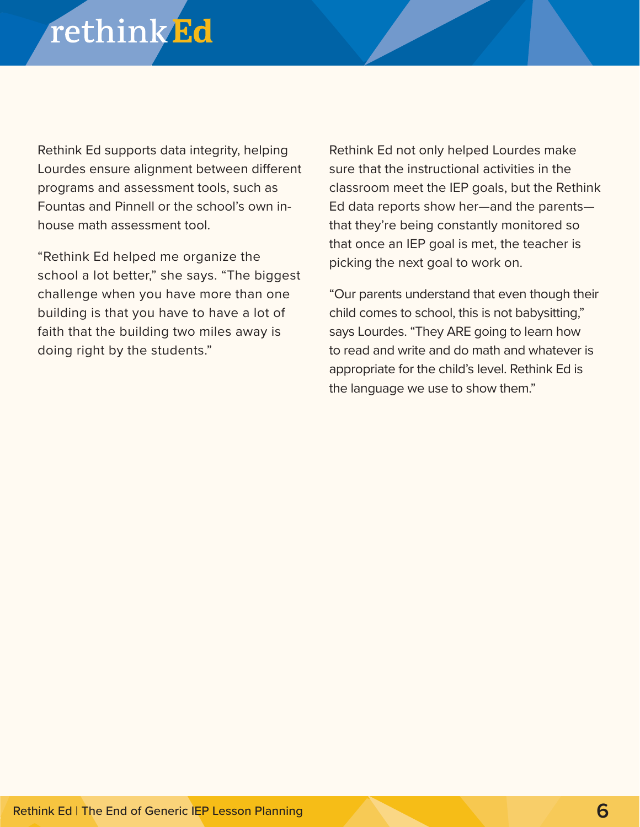## rethink<sup>Ed</sup>

Rethink Ed supports data integrity, helping Lourdes ensure alignment between different programs and assessment tools, such as Fountas and Pinnell or the school's own inhouse math assessment tool.

"Rethink Ed helped me organize the school a lot better," she says. "The biggest challenge when you have more than one building is that you have to have a lot of faith that the building two miles away is doing right by the students."

Rethink Ed not only helped Lourdes make sure that the instructional activities in the classroom meet the IEP goals, but the Rethink Ed data reports show her—and the parents that they're being constantly monitored so that once an IEP goal is met, the teacher is picking the next goal to work on.

"Our parents understand that even though their child comes to school, this is not babysitting," says Lourdes. "They ARE going to learn how to read and write and do math and whatever is appropriate for the child's level. Rethink Ed is the language we use to show them."